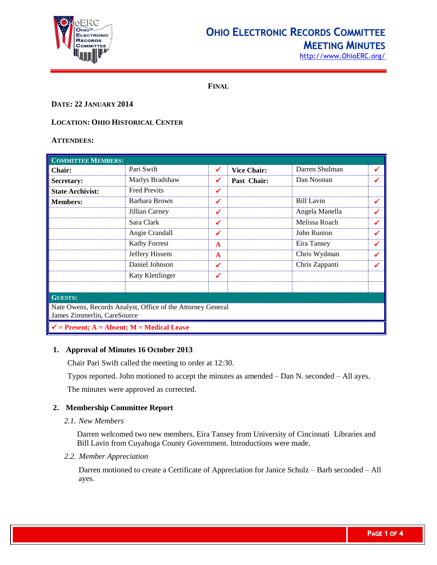

# **OHIO ELECTRONIC RECORDS COMMITTEE**

**MEETING MINUTES** [http://www.OhioERC.org/](http://www.ohioerc.org/)

**FINAL**

# **DATE: 22 JANUARY 2014**

## **LOCATION: OHIO HISTORICAL CENTER**

## **ATTENDEES:**

| <b>COMMITTEE MEMBERS:</b>                                                     |                      |              |                    |                   |   |  |
|-------------------------------------------------------------------------------|----------------------|--------------|--------------------|-------------------|---|--|
| Chair:                                                                        | Pari Swift           | ✔            | <b>Vice Chair:</b> | Darren Shulman    | ✔ |  |
| <b>Secretary:</b>                                                             | Marlys Bradshaw      | ✔            | Past Chair:        | Dan Noonan        | ✔ |  |
| <b>State Archivist:</b>                                                       | <b>Fred Previts</b>  | ✔            |                    |                   |   |  |
| <b>Members:</b>                                                               | Barbara Brown        | ✓            |                    | <b>Bill Lavin</b> | ✔ |  |
|                                                                               | Jillian Carney       | ✔            |                    | Angela Manella    | ✔ |  |
|                                                                               | Sara Clark           | ✔            |                    | Melissa Roach     | ✔ |  |
|                                                                               | Angie Crandall       | ✓            |                    | John Runion       | ✔ |  |
|                                                                               | <b>Kathy Forrest</b> | $\mathbf{A}$ |                    | Eira Tansey       |   |  |
|                                                                               | Jeffery Hissem       | $\mathbf{A}$ |                    | Chris Wydman      |   |  |
|                                                                               | Daniel Johnson       | ✔            |                    | Chris Zappanti    | ✔ |  |
|                                                                               | Katy Klettlinger     | ✓            |                    |                   |   |  |
| <b>GUESTS:</b><br>Nate Owens, Records Analyst, Office of the Attorney General |                      |              |                    |                   |   |  |
| James Zimmerlin, CareSource                                                   |                      |              |                    |                   |   |  |
| $\checkmark$ = Present; A = Absent; M = Medical Leave                         |                      |              |                    |                   |   |  |

## **1. Approval of Minutes 16 October 2013**

Chair Pari Swift called the meeting to order at 12:30.

Typos reported. John motioned to accept the minutes as amended – Dan N. seconded – All ayes.

The minutes were approved as corrected.

## **2. Membership Committee Report**

*2.1. New Members*

Darren welcomed two new members, Eira Tansey from University of Cincinnati Libraries and Bill Lavin from Cuyahoga County Government. Introductions were made.

*2.2. Member Appreciation*

Darren motioned to create a Certificate of Appreciation for Janice Schulz – Barb seconded – All ayes.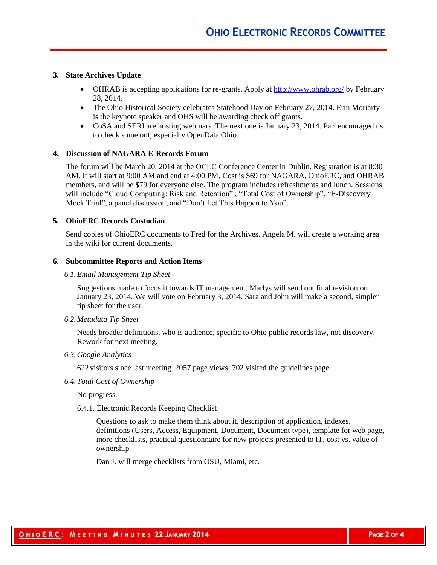### **3. State Archives Update**

- OHRAB is accepting applications for re-grants. Apply at<http://www.ohrab.org/> by February 28, 2014.
- The Ohio Historical Society celebrates Statehood Day on February 27, 2014. Erin Moriarty is the keynote speaker and OHS will be awarding check off grants.
- CoSA and SERI are hosting webinars. The next one is January 23, 2014. Pari encouraged us to check some out, especially OpenData Ohio.

## **4. Discussion of NAGARA E-Records Forum**

The forum will be March 20, 2014 at the OCLC Conference Center in Dublin. Registration is at 8:30 AM. It will start at 9:00 AM and end at 4:00 PM. Cost is \$69 for NAGARA, OhioERC, and OHRAB members, and will be \$79 for everyone else. The program includes refreshments and lunch. Sessions will include "Cloud Computing: Risk and Retention", "Total Cost of Ownership", "E-Discovery Mock Trial", a panel discussion, and "Don't Let This Happen to You".

#### **5. OhioERC Records Custodian**

Send copies of OhioERC documents to Fred for the Archives. Angela M. will create a working area in the wiki for current documents.

#### **6. Subcommittee Reports and Action Items**

#### *6.1.Email Management Tip Sheet*

Suggestions made to focus it towards IT management. Marlys will send out final revision on January 23, 2014. We will vote on February 3, 2014. Sara and John will make a second, simpler tip sheet for the user.

#### *6.2.Metadata Tip Sheet*

Needs broader definitions, who is audience, specific to Ohio public records law, not discovery. Rework for next meeting.

*6.3.Google Analytics*

622 visitors since last meeting. 2057 page views. 702 visited the guidelines page.

*6.4.Total Cost of Ownership*

No progress.

6.4.1. Electronic Records Keeping Checklist

Questions to ask to make them think about it, description of application, indexes, definitions (Users, Access, Equipment, Document, Document type), template for web page, more checklists, practical questionnaire for new projects presented to IT, cost vs. value of ownership.

Dan J. will merge checklists from OSU, Miami, etc.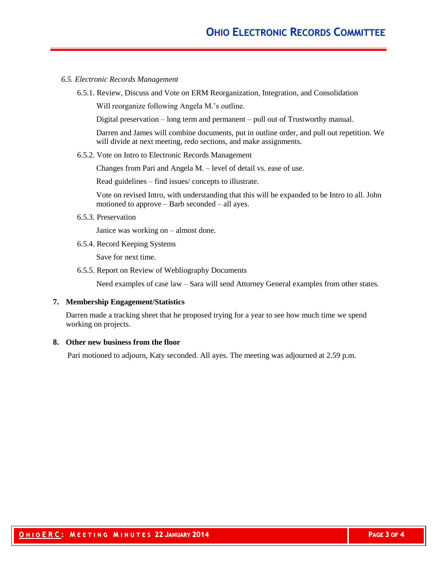- *6.5. Electronic Records Management*
	- 6.5.1. Review, Discuss and Vote on ERM Reorganization, Integration, and Consolidation

Will reorganize following Angela M.'s outline.

Digital preservation – long term and permanent – pull out of Trustworthy manual.

Darren and James will combine documents, put in outline order, and pull out repetition. We will divide at next meeting, redo sections, and make assignments.

6.5.2. Vote on Intro to Electronic Records Management

Changes from Pari and Angela M. – level of detail vs. ease of use.

Read guidelines – find issues/ concepts to illustrate.

Vote on revised Intro, with understanding that this will be expanded to be Intro to all. John motioned to approve – Barb seconded – all ayes.

6.5.3. Preservation

Janice was working on – almost done.

6.5.4. Record Keeping Systems

Save for next time.

6.5.5. Report on Review of Webliography Documents

Need examples of case law – Sara will send Attorney General examples from other states.

## **7. Membership Engagement/Statistics**

Darren made a tracking sheet that he proposed trying for a year to see how much time we spend working on projects.

#### **8. Other new business from the floor**

Pari motioned to adjourn, Katy seconded. All ayes. The meeting was adjourned at 2.59 p.m.